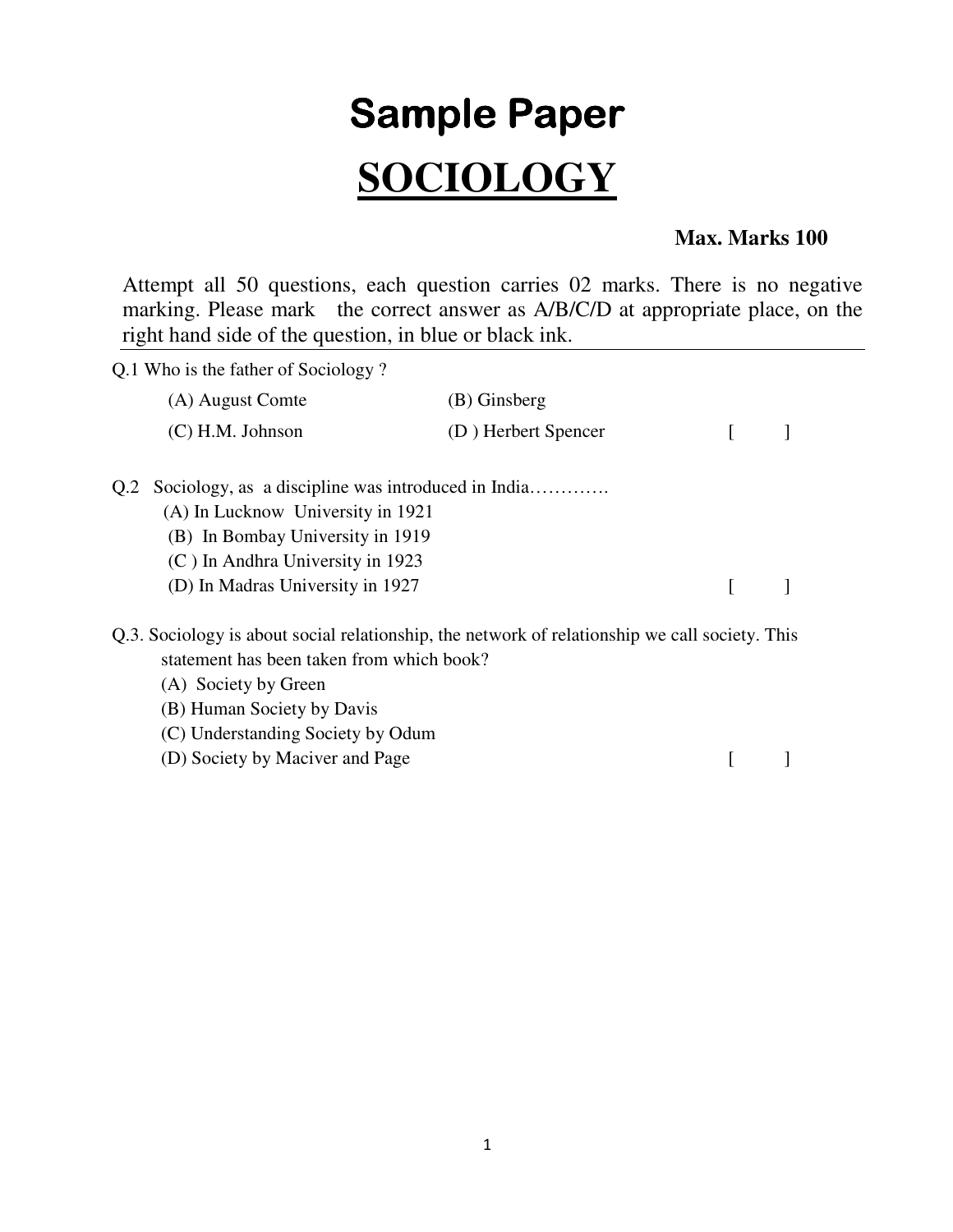## **Sample Paper SOCIOLOGY**

## **Max. Marks 100**

Attempt all 50 questions, each question carries 02 marks. There is no negative marking. Please mark the correct answer as A/B/C/D at appropriate place, on the right hand side of the question, in blue or black ink.

| Q.1 Who is the father of Sociology?                                                                                                                                                                                                                                       |                     |  |  |  |
|---------------------------------------------------------------------------------------------------------------------------------------------------------------------------------------------------------------------------------------------------------------------------|---------------------|--|--|--|
| (A) August Comte                                                                                                                                                                                                                                                          | (B) Ginsberg        |  |  |  |
| $(C)$ H.M. Johnson                                                                                                                                                                                                                                                        | (D) Herbert Spencer |  |  |  |
| Sociology, as a discipline was introduced in India<br>Q.2<br>(A) In Lucknow University in 1921<br>(B) In Bombay University in 1919<br>(C) In Andhra University in 1923<br>(D) In Madras University in 1927                                                                |                     |  |  |  |
| Q.3. Sociology is about social relationship, the network of relationship we call society. This<br>statement has been taken from which book?<br>(A) Society by Green<br>(B) Human Society by Davis<br>(C) Understanding Society by Odum<br>(D) Society by Maciver and Page |                     |  |  |  |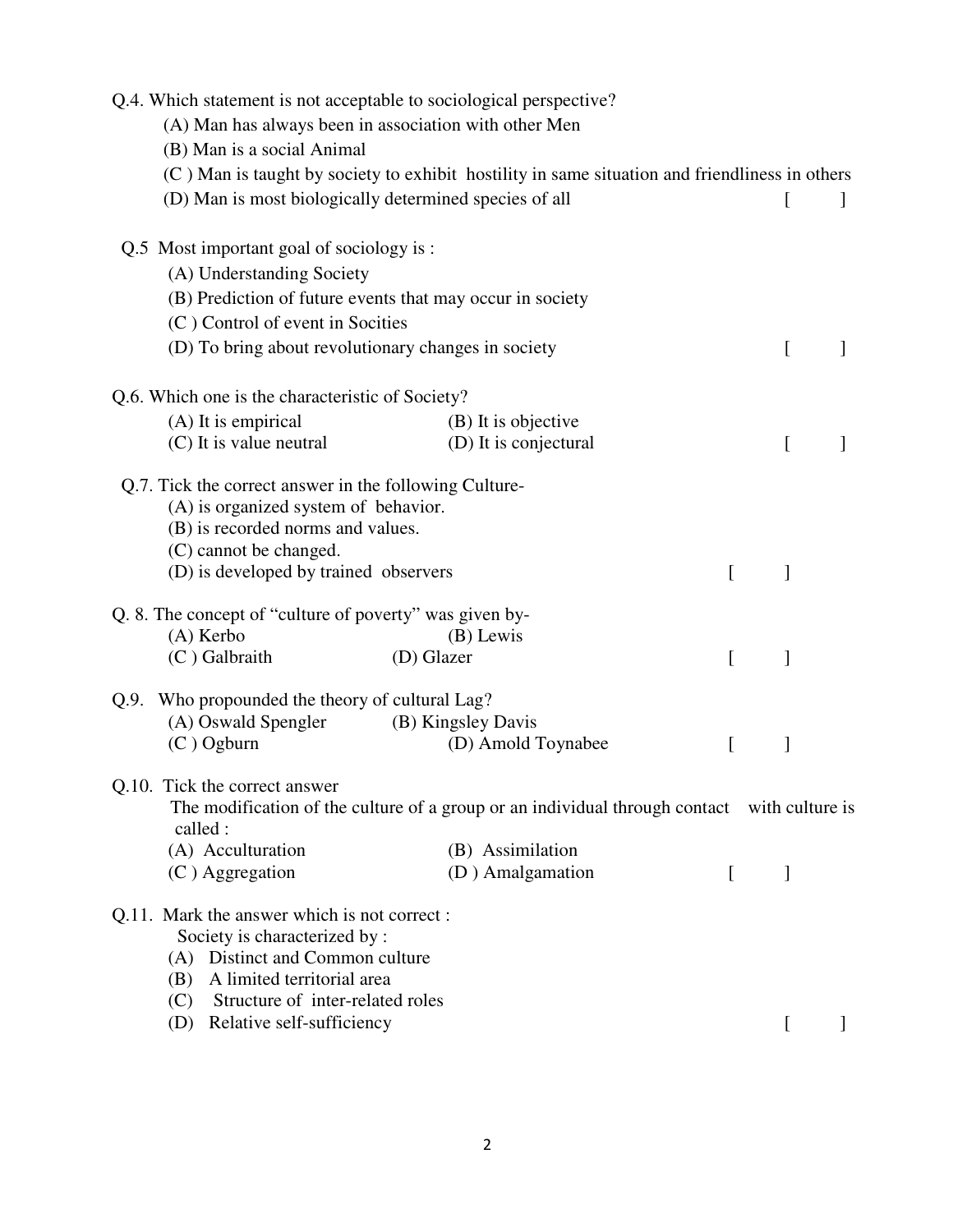| (A) Man has always been in association with other Men<br>(B) Man is a social Animal                                                                                                                                           | Q.4. Which statement is not acceptable to sociological perspective?<br>(C) Man is taught by society to exhibit hostility in same situation and friendliness in others |          |              |         |
|-------------------------------------------------------------------------------------------------------------------------------------------------------------------------------------------------------------------------------|-----------------------------------------------------------------------------------------------------------------------------------------------------------------------|----------|--------------|---------|
| (D) Man is most biologically determined species of all                                                                                                                                                                        |                                                                                                                                                                       |          | $\mathsf{L}$ | J.      |
| Q.5 Most important goal of sociology is:<br>(A) Understanding Society<br>(B) Prediction of future events that may occur in society<br>(C) Control of event in Socities<br>(D) To bring about revolutionary changes in society |                                                                                                                                                                       |          | $\lceil$     |         |
|                                                                                                                                                                                                                               |                                                                                                                                                                       |          |              |         |
| Q.6. Which one is the characteristic of Society?                                                                                                                                                                              |                                                                                                                                                                       |          |              |         |
| (A) It is empirical                                                                                                                                                                                                           | (B) It is objective                                                                                                                                                   |          |              |         |
| (C) It is value neutral                                                                                                                                                                                                       | (D) It is conjectural                                                                                                                                                 |          | L            |         |
| Q.7. Tick the correct answer in the following Culture-<br>(A) is organized system of behavior.<br>(B) is recorded norms and values.<br>(C) cannot be changed.<br>(D) is developed by trained observers                        |                                                                                                                                                                       | L        | 1            |         |
|                                                                                                                                                                                                                               |                                                                                                                                                                       |          |              |         |
| Q. 8. The concept of "culture of poverty" was given by-                                                                                                                                                                       |                                                                                                                                                                       |          |              |         |
| $(A)$ Kerbo                                                                                                                                                                                                                   | (B) Lewis                                                                                                                                                             |          |              |         |
| (C) Galbraith                                                                                                                                                                                                                 | (D) Glazer                                                                                                                                                            | L        | 1            |         |
| Q.9. Who propounded the theory of cultural Lag?                                                                                                                                                                               |                                                                                                                                                                       |          |              |         |
| (A) Oswald Spengler                                                                                                                                                                                                           | (B) Kingsley Davis                                                                                                                                                    |          |              |         |
| $(C)$ Ogburn                                                                                                                                                                                                                  | (D) Amold Toynabee                                                                                                                                                    |          |              |         |
|                                                                                                                                                                                                                               |                                                                                                                                                                       |          |              |         |
| Q.10. Tick the correct answer<br>called :                                                                                                                                                                                     | The modification of the culture of a group or an individual through contact with culture is                                                                           |          |              |         |
| (A) Acculturation                                                                                                                                                                                                             | (B) Assimilation                                                                                                                                                      |          |              |         |
| $(C)$ Aggregation                                                                                                                                                                                                             | (D) Amalgamation                                                                                                                                                      | $\Gamma$ | ]            |         |
| Q.11. Mark the answer which is not correct:<br>Society is characterized by :<br>(A) Distinct and Common culture<br>A limited territorial area<br>(B)                                                                          |                                                                                                                                                                       |          |              |         |
| Structure of inter-related roles<br>(C)                                                                                                                                                                                       |                                                                                                                                                                       |          |              |         |
| (D) Relative self-sufficiency                                                                                                                                                                                                 |                                                                                                                                                                       |          | $\Gamma$     | $\perp$ |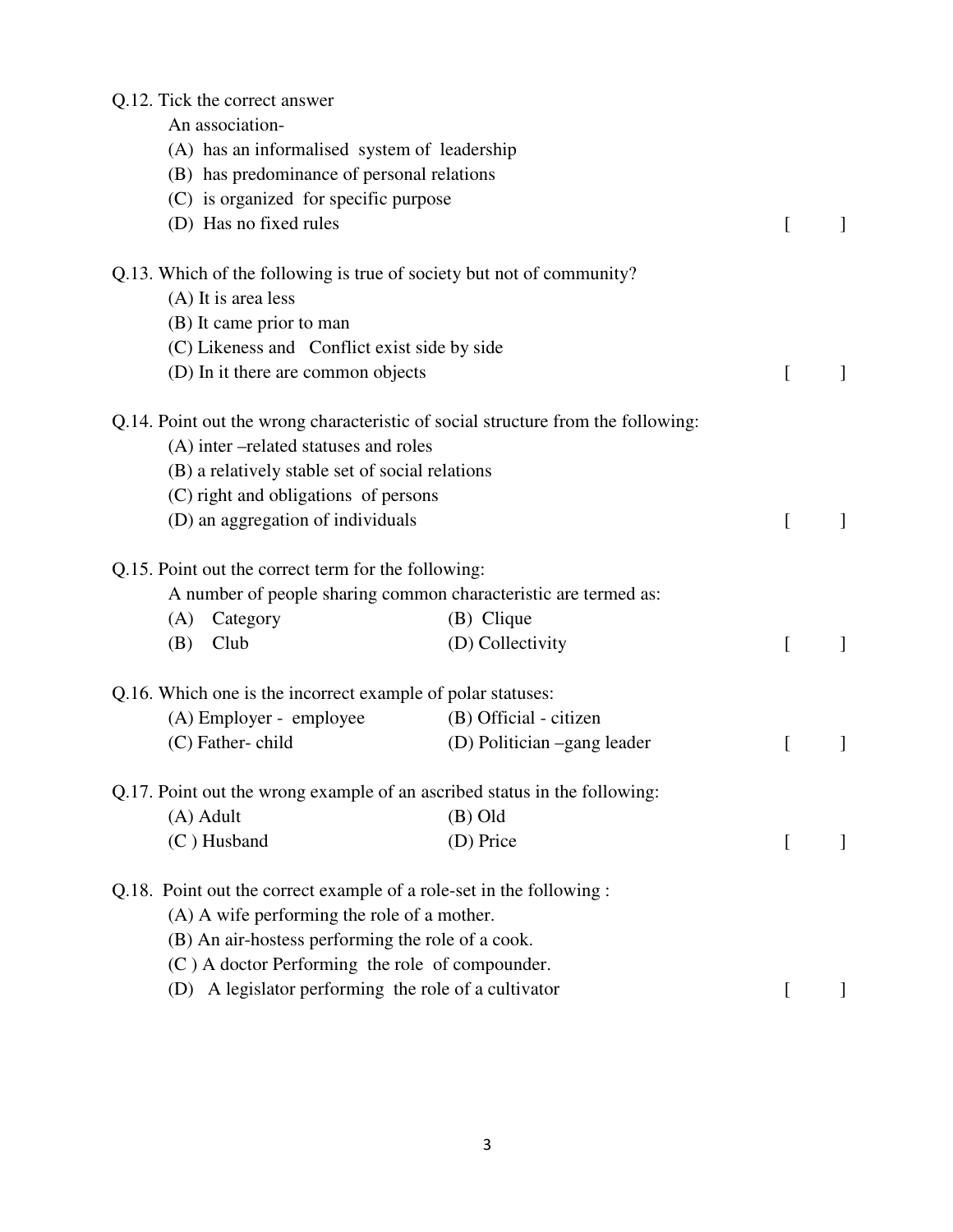## Q.12. Tick the correct answer

An association-

| (A) has an informalised system of leadership                |                                                                                  |              |   |
|-------------------------------------------------------------|----------------------------------------------------------------------------------|--------------|---|
| (B) has predominance of personal relations                  |                                                                                  |              |   |
| (C) is organized for specific purpose                       |                                                                                  |              |   |
| (D) Has no fixed rules                                      |                                                                                  | $\lceil$     | 1 |
|                                                             | Q.13. Which of the following is true of society but not of community?            |              |   |
| (A) It is area less                                         |                                                                                  |              |   |
| (B) It came prior to man                                    |                                                                                  |              |   |
| (C) Likeness and Conflict exist side by side                |                                                                                  |              |   |
| (D) In it there are common objects                          |                                                                                  | $\Gamma$     | 1 |
|                                                             | Q.14. Point out the wrong characteristic of social structure from the following: |              |   |
| (A) inter-related statuses and roles                        |                                                                                  |              |   |
| (B) a relatively stable set of social relations             |                                                                                  |              |   |
| (C) right and obligations of persons                        |                                                                                  |              |   |
| (D) an aggregation of individuals                           |                                                                                  | f            |   |
| Q.15. Point out the correct term for the following:         |                                                                                  |              |   |
|                                                             | A number of people sharing common characteristic are termed as:                  |              |   |
| (A)<br>Category                                             | (B) Clique                                                                       |              |   |
| Club<br>(B)                                                 | (D) Collectivity                                                                 |              | 1 |
| Q.16. Which one is the incorrect example of polar statuses: |                                                                                  |              |   |
| (A) Employer - employee                                     | (B) Official - citizen                                                           |              |   |
| (C) Father-child                                            | (D) Politician –gang leader                                                      | $\mathbf{I}$ | 1 |
|                                                             | Q.17. Point out the wrong example of an ascribed status in the following:        |              |   |
| (A) Adult                                                   | $(B)$ Old                                                                        |              |   |
| (C) Husband                                                 | (D) Price                                                                        |              |   |
|                                                             | Q.18. Point out the correct example of a role-set in the following:              |              |   |
| (A) A wife performing the role of a mother.                 |                                                                                  |              |   |
| (B) An air-hostess performing the role of a cook.           |                                                                                  |              |   |
|                                                             | (C) A doctor Performing the role of compounder.                                  |              |   |
| (D)                                                         | A legislator performing the role of a cultivator                                 | L            |   |
|                                                             |                                                                                  |              |   |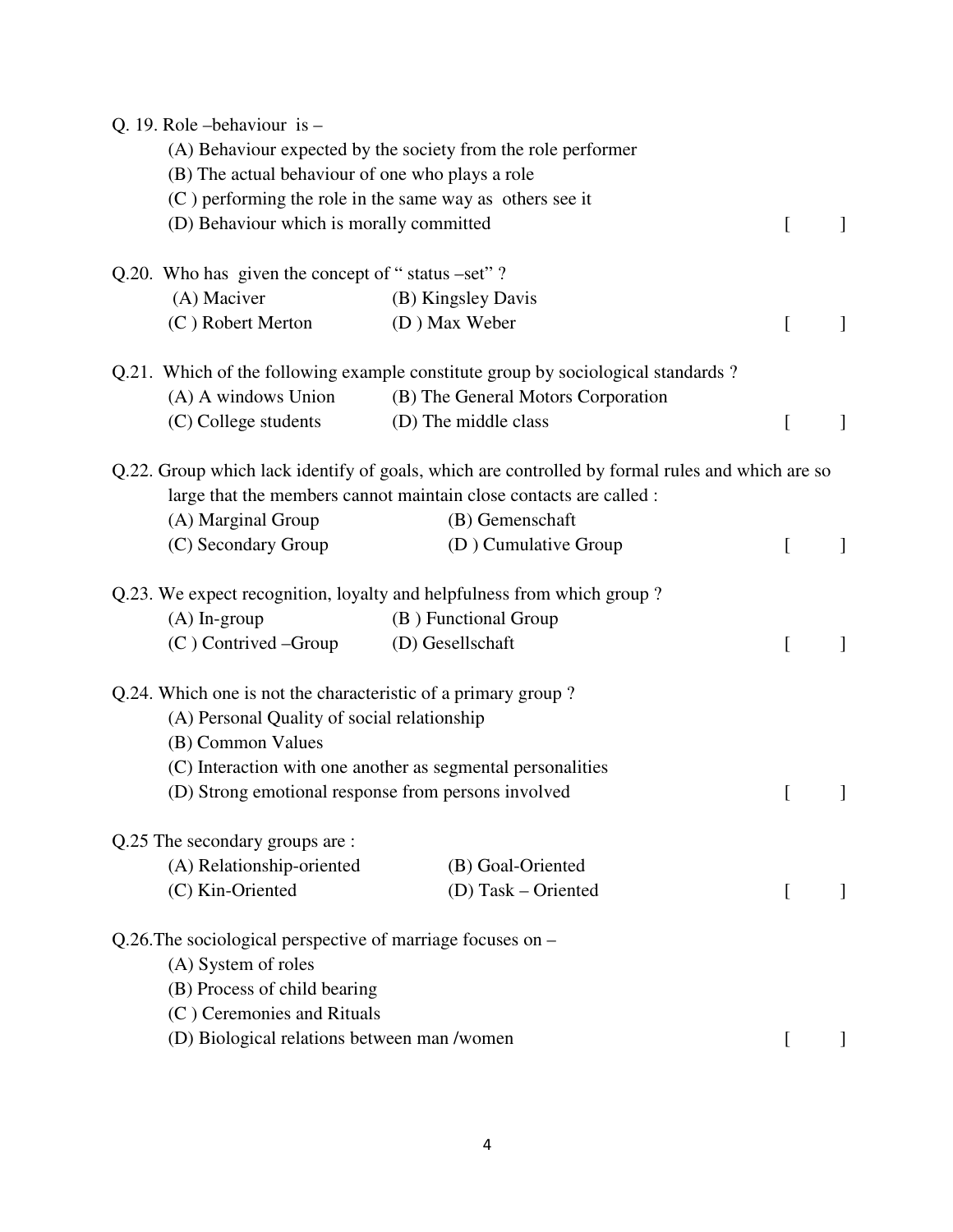| Q. 19. Role – behaviour is –                                  |                                                                                                 |          |              |
|---------------------------------------------------------------|-------------------------------------------------------------------------------------------------|----------|--------------|
|                                                               | (A) Behaviour expected by the society from the role performer                                   |          |              |
| (B) The actual behaviour of one who plays a role              |                                                                                                 |          |              |
| $(C)$ performing the role in the same way as others see it    |                                                                                                 |          |              |
| (D) Behaviour which is morally committed                      |                                                                                                 | $\Gamma$ |              |
| Q.20. Who has given the concept of "status -set"?             |                                                                                                 |          |              |
| (A) Maciver                                                   | (B) Kingsley Davis                                                                              |          |              |
| (C) Robert Merton                                             | (D) Max Weber                                                                                   | $\Gamma$ | $\mathbf{I}$ |
|                                                               | Q.21. Which of the following example constitute group by sociological standards?                |          |              |
| (A) A windows Union                                           | (B) The General Motors Corporation                                                              |          |              |
| (C) College students                                          | (D) The middle class                                                                            | $\Gamma$ | $\mathbf{I}$ |
|                                                               | Q.22. Group which lack identify of goals, which are controlled by formal rules and which are so |          |              |
|                                                               | large that the members cannot maintain close contacts are called :                              |          |              |
| (A) Marginal Group                                            | (B) Gemenschaft                                                                                 |          |              |
| (C) Secondary Group                                           | (D) Cumulative Group                                                                            | [        | 1            |
|                                                               | Q.23. We expect recognition, loyalty and helpfulness from which group?                          |          |              |
| $(A)$ In-group                                                | (B) Functional Group                                                                            |          |              |
| $(C)$ Contrived –Group                                        | (D) Gesellschaft                                                                                | L        | 1            |
| Q.24. Which one is not the characteristic of a primary group? |                                                                                                 |          |              |
| (A) Personal Quality of social relationship                   |                                                                                                 |          |              |
| (B) Common Values                                             |                                                                                                 |          |              |
|                                                               | (C) Interaction with one another as segmental personalities                                     |          |              |
| (D) Strong emotional response from persons involved           |                                                                                                 |          |              |
| Q.25 The secondary groups are :                               |                                                                                                 |          |              |
| (A) Relationship-oriented                                     | (B) Goal-Oriented                                                                               |          |              |
| (C) Kin-Oriented                                              | (D) Task – Oriented                                                                             | $\Gamma$ |              |
| Q.26. The sociological perspective of marriage focuses on $-$ |                                                                                                 |          |              |
| (A) System of roles                                           |                                                                                                 |          |              |
| (B) Process of child bearing                                  |                                                                                                 |          |              |
| (C) Ceremonies and Rituals                                    |                                                                                                 |          |              |
| (D) Biological relations between man /women                   |                                                                                                 | $\Gamma$ |              |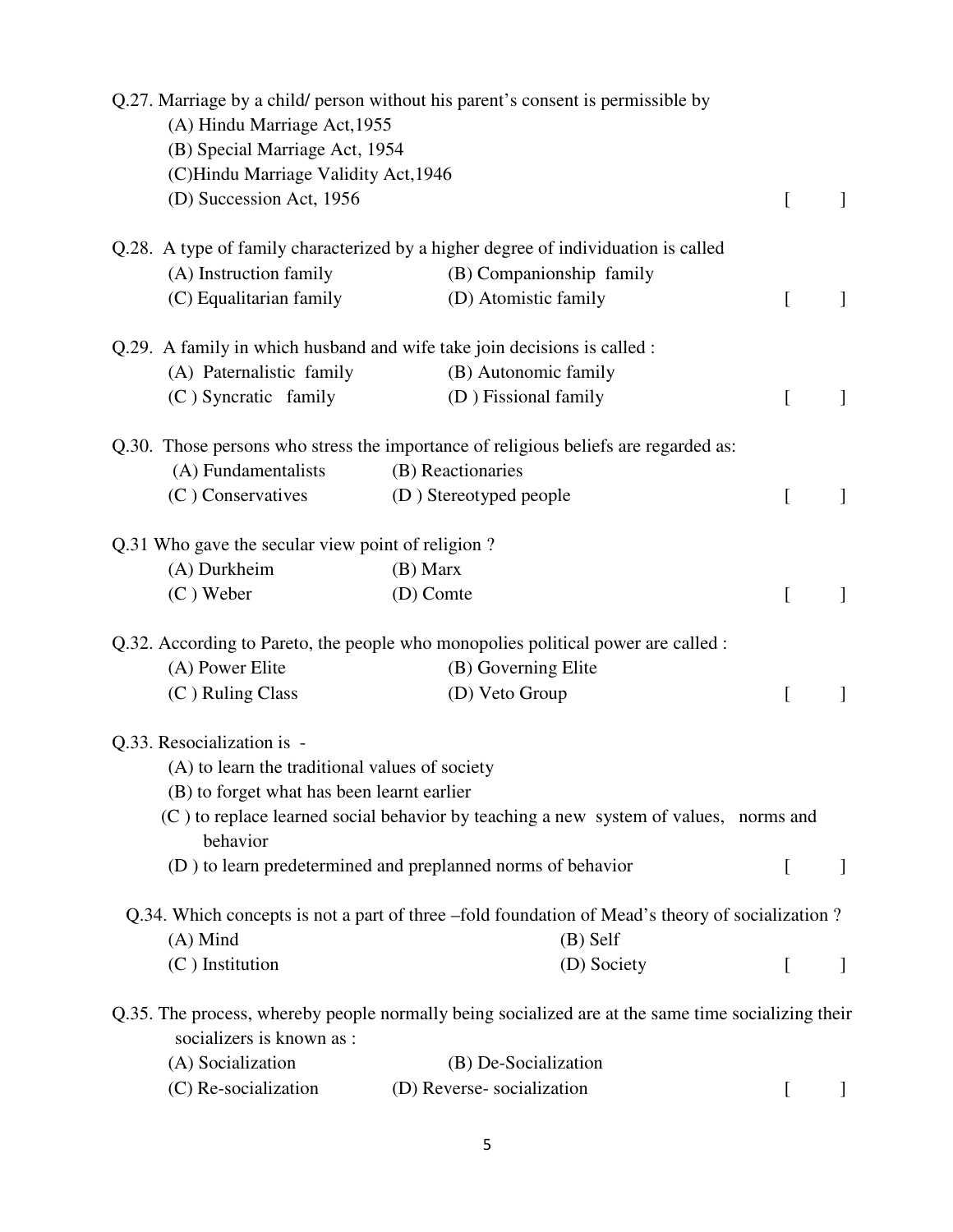| (A) Hindu Marriage Act, 1955<br>(B) Special Marriage Act, 1954<br>(C)Hindu Marriage Validity Act, 1946 | Q.27. Marriage by a child/ person without his parent's consent is permissible by                   |           |              |
|--------------------------------------------------------------------------------------------------------|----------------------------------------------------------------------------------------------------|-----------|--------------|
| (D) Succession Act, 1956                                                                               |                                                                                                    | [         | $\mathbf{I}$ |
|                                                                                                        | Q.28. A type of family characterized by a higher degree of individuation is called                 |           |              |
| (A) Instruction family                                                                                 | (B) Companionship family                                                                           |           |              |
| (C) Equalitarian family                                                                                | (D) Atomistic family                                                                               | L         | $\mathbf{I}$ |
|                                                                                                        | Q.29. A family in which husband and wife take join decisions is called :                           |           |              |
| (A) Paternalistic family                                                                               | (B) Autonomic family                                                                               |           |              |
| (C) Syncratic family                                                                                   | (D) Fissional family                                                                               | L         | 1            |
|                                                                                                        | Q.30. Those persons who stress the importance of religious beliefs are regarded as:                |           |              |
| (A) Fundamentalists                                                                                    | (B) Reactionaries                                                                                  |           |              |
| (C) Conservatives                                                                                      | (D) Stereotyped people                                                                             | L         | $\mathbf{I}$ |
| Q.31 Who gave the secular view point of religion?                                                      |                                                                                                    |           |              |
| (A) Durkheim                                                                                           | (B) Marx                                                                                           |           |              |
| $(C)$ Weber                                                                                            | (D) Comte                                                                                          | L         | 1            |
|                                                                                                        | Q.32. According to Pareto, the people who monopolies political power are called :                  |           |              |
| (A) Power Elite                                                                                        | (B) Governing Elite                                                                                |           |              |
| (C) Ruling Class                                                                                       | (D) Veto Group                                                                                     | L         | 1            |
| Q.33. Resocialization is -                                                                             |                                                                                                    |           |              |
| (A) to learn the traditional values of society                                                         |                                                                                                    |           |              |
| (B) to forget what has been learnt earlier                                                             |                                                                                                    |           |              |
| behavior                                                                                               | (C) to replace learned social behavior by teaching a new system of values, norms and               |           |              |
|                                                                                                        | (D) to learn predetermined and preplanned norms of behavior                                        | $\Gamma$  | 1            |
|                                                                                                        | Q.34. Which concepts is not a part of three –fold foundation of Mead's theory of socialization?    |           |              |
| $(A)$ Mind                                                                                             | $(B)$ Self                                                                                         |           |              |
| $(C)$ Institution                                                                                      | (D) Society                                                                                        | $\lfloor$ | $\mathbf{I}$ |
| socializers is known as :                                                                              | Q.35. The process, whereby people normally being socialized are at the same time socializing their |           |              |
| (A) Socialization                                                                                      | (B) De-Socialization                                                                               |           |              |
| (C) Re-socialization                                                                                   | (D) Reverse-socialization                                                                          |           |              |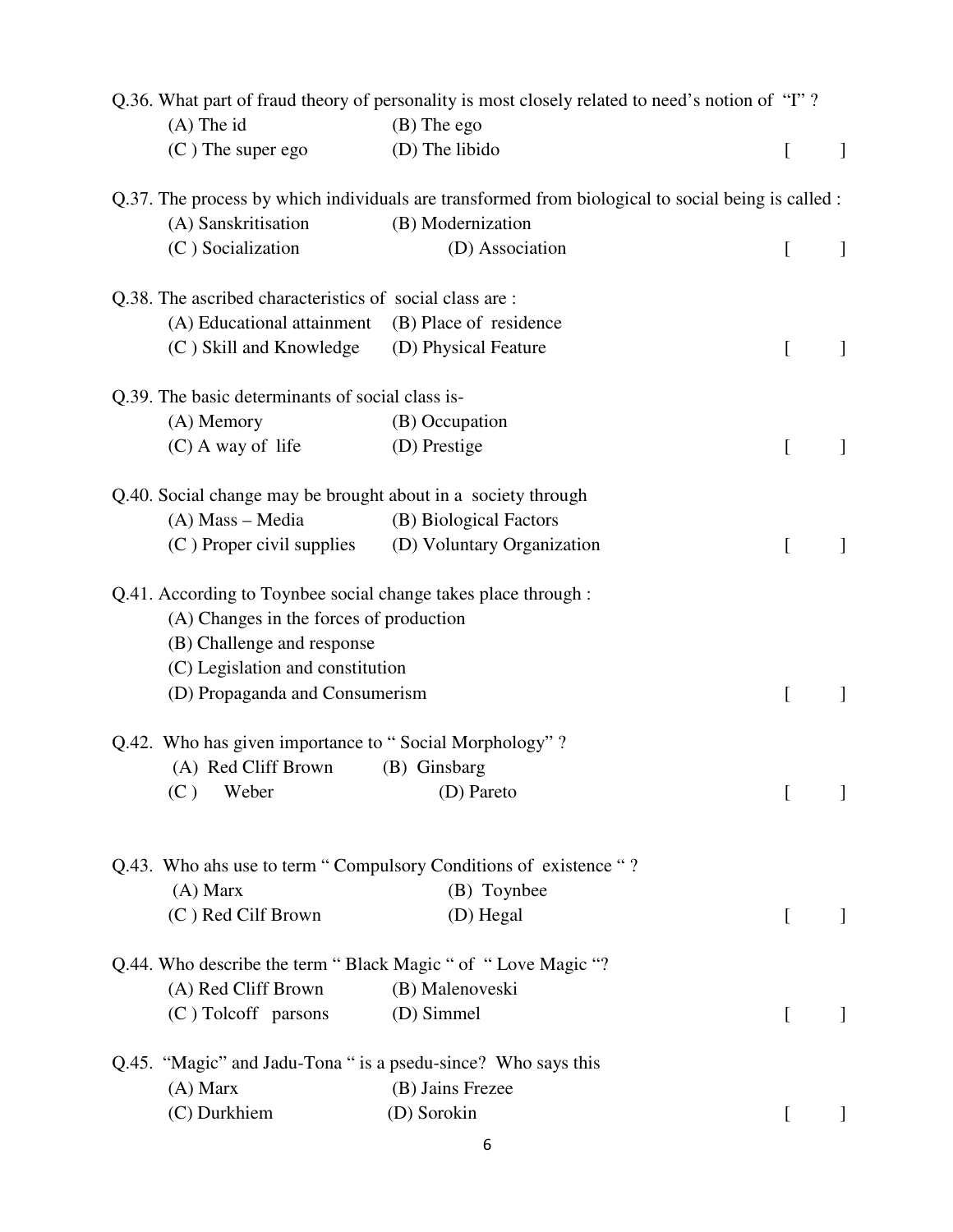| $(A)$ The id                                                                                                                                                                                                  | Q.36. What part of fraud theory of personality is most closely related to need's notion of "I"?<br>$(B)$ The ego        |                  |              |
|---------------------------------------------------------------------------------------------------------------------------------------------------------------------------------------------------------------|-------------------------------------------------------------------------------------------------------------------------|------------------|--------------|
| $(C)$ The super ego                                                                                                                                                                                           | (D) The libido                                                                                                          | $\left[ \right]$ | $\mathbf{I}$ |
| (A) Sanskritisation                                                                                                                                                                                           | Q.37. The process by which individuals are transformed from biological to social being is called :<br>(B) Modernization |                  |              |
| (C) Socialization                                                                                                                                                                                             | (D) Association                                                                                                         | $\left[ \right]$ |              |
| Q.38. The ascribed characteristics of social class are:                                                                                                                                                       |                                                                                                                         |                  |              |
| (A) Educational attainment                                                                                                                                                                                    | (B) Place of residence                                                                                                  |                  |              |
| (C) Skill and Knowledge                                                                                                                                                                                       | (D) Physical Feature                                                                                                    | L                |              |
| Q.39. The basic determinants of social class is-                                                                                                                                                              |                                                                                                                         |                  |              |
| (A) Memory                                                                                                                                                                                                    | (B) Occupation                                                                                                          |                  |              |
| $(C)$ A way of life                                                                                                                                                                                           | (D) Prestige                                                                                                            | L                |              |
| Q.40. Social change may be brought about in a society through                                                                                                                                                 |                                                                                                                         |                  |              |
| (A) Mass - Media                                                                                                                                                                                              | (B) Biological Factors                                                                                                  |                  |              |
| (C) Proper civil supplies (D) Voluntary Organization                                                                                                                                                          |                                                                                                                         | ſ                |              |
| Q.41. According to Toynbee social change takes place through :<br>(A) Changes in the forces of production<br>(B) Challenge and response<br>(C) Legislation and constitution<br>(D) Propaganda and Consumerism |                                                                                                                         | L                |              |
| Q.42. Who has given importance to "Social Morphology"?                                                                                                                                                        |                                                                                                                         |                  |              |
| (A) Red Cliff Brown                                                                                                                                                                                           | (B) Ginsbarg                                                                                                            |                  |              |
| (C)<br>Weber                                                                                                                                                                                                  | (D) Pareto                                                                                                              | [                | $\mathbf{I}$ |
| $(A)$ Marx<br>(C) Red Cilf Brown                                                                                                                                                                              | Q.43. Who ahs use to term "Compulsory Conditions of existence "?<br>(B) Toynbee<br>(D) Hegal                            | $\Gamma$         |              |
| Q.44. Who describe the term "Black Magic " of "Love Magic "?                                                                                                                                                  |                                                                                                                         |                  |              |
| (A) Red Cliff Brown                                                                                                                                                                                           | (B) Malenoveski                                                                                                         |                  |              |
| (C) Tolcoff parsons                                                                                                                                                                                           | (D) Simmel                                                                                                              | $\Gamma$         | $\mathbf{I}$ |
| Q.45. "Magic" and Jadu-Tona " is a psedu-since? Who says this                                                                                                                                                 |                                                                                                                         |                  |              |
| $(A)$ Marx                                                                                                                                                                                                    | (B) Jains Frezee                                                                                                        |                  |              |
| (C) Durkhiem                                                                                                                                                                                                  | (D) Sorokin                                                                                                             | $\left[ \right]$ |              |